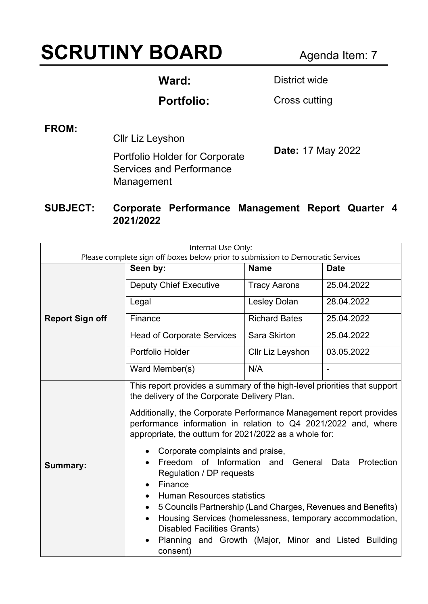# **SCRUTINY BOARD** Agenda Item: 7

Ward: **District wide** 

Portfolio: Cross cutting

**FROM:** 

Cllr Liz Leyshon

Portfolio Holder for Corporate Services and Performance Management

**Date:** 17 May 2022

#### **SUBJECT: Corporate Performance Management Report Quarter 4 2021/2022**

| Internal Use Only:<br>Please complete sign off boxes below prior to submission to Democratic Services |                                                                                                                                                                                                                                                                                                                                                                                                                                                                                                                                                                                                                                                                                                                                                                                                            |                      |                |  |
|-------------------------------------------------------------------------------------------------------|------------------------------------------------------------------------------------------------------------------------------------------------------------------------------------------------------------------------------------------------------------------------------------------------------------------------------------------------------------------------------------------------------------------------------------------------------------------------------------------------------------------------------------------------------------------------------------------------------------------------------------------------------------------------------------------------------------------------------------------------------------------------------------------------------------|----------------------|----------------|--|
| <b>Report Sign off</b>                                                                                | Seen by:                                                                                                                                                                                                                                                                                                                                                                                                                                                                                                                                                                                                                                                                                                                                                                                                   | <b>Name</b>          | <b>Date</b>    |  |
|                                                                                                       | <b>Deputy Chief Executive</b>                                                                                                                                                                                                                                                                                                                                                                                                                                                                                                                                                                                                                                                                                                                                                                              | <b>Tracy Aarons</b>  | 25.04.2022     |  |
|                                                                                                       | Legal                                                                                                                                                                                                                                                                                                                                                                                                                                                                                                                                                                                                                                                                                                                                                                                                      | <b>Lesley Dolan</b>  | 28.04.2022     |  |
|                                                                                                       | Finance                                                                                                                                                                                                                                                                                                                                                                                                                                                                                                                                                                                                                                                                                                                                                                                                    | <b>Richard Bates</b> | 25.04.2022     |  |
|                                                                                                       | <b>Head of Corporate Services</b>                                                                                                                                                                                                                                                                                                                                                                                                                                                                                                                                                                                                                                                                                                                                                                          | Sara Skirton         | 25.04.2022     |  |
|                                                                                                       | Portfolio Holder                                                                                                                                                                                                                                                                                                                                                                                                                                                                                                                                                                                                                                                                                                                                                                                           | Cllr Liz Leyshon     | 03.05.2022     |  |
|                                                                                                       | Ward Member(s)                                                                                                                                                                                                                                                                                                                                                                                                                                                                                                                                                                                                                                                                                                                                                                                             | N/A                  | $\blacksquare$ |  |
| Summary:                                                                                              | This report provides a summary of the high-level priorities that support<br>the delivery of the Corporate Delivery Plan.<br>Additionally, the Corporate Performance Management report provides<br>performance information in relation to Q4 2021/2022 and, where<br>appropriate, the outturn for 2021/2022 as a whole for:<br>Corporate complaints and praise,<br>of Information<br>Freedom<br>and<br>General<br>Data<br>Protection<br>$\bullet$<br>Regulation / DP requests<br>Finance<br>$\bullet$<br><b>Human Resources statistics</b><br>5 Councils Partnership (Land Charges, Revenues and Benefits)<br>$\bullet$<br>Housing Services (homelessness, temporary accommodation,<br>$\bullet$<br><b>Disabled Facilities Grants)</b><br>Planning and Growth (Major, Minor and Listed Building<br>consent) |                      |                |  |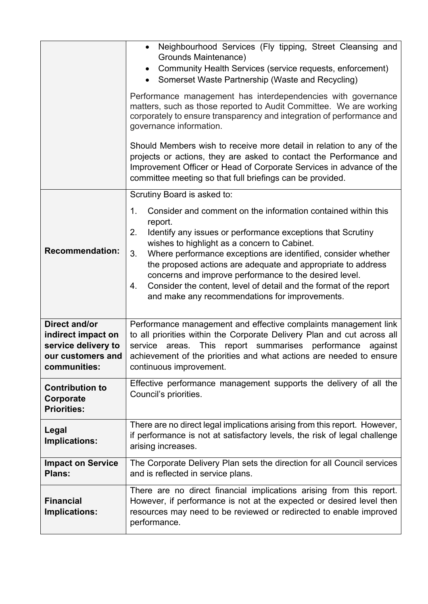|                                                                                                        | Neighbourhood Services (Fly tipping, Street Cleansing and<br>Grounds Maintenance)<br>Community Health Services (service requests, enforcement)<br>Somerset Waste Partnership (Waste and Recycling)<br>$\bullet$<br>Performance management has interdependencies with governance<br>matters, such as those reported to Audit Committee. We are working<br>corporately to ensure transparency and integration of performance and<br>governance information.<br>Should Members wish to receive more detail in relation to any of the<br>projects or actions, they are asked to contact the Performance and<br>Improvement Officer or Head of Corporate Services in advance of the<br>committee meeting so that full briefings can be provided. |  |
|--------------------------------------------------------------------------------------------------------|---------------------------------------------------------------------------------------------------------------------------------------------------------------------------------------------------------------------------------------------------------------------------------------------------------------------------------------------------------------------------------------------------------------------------------------------------------------------------------------------------------------------------------------------------------------------------------------------------------------------------------------------------------------------------------------------------------------------------------------------|--|
| <b>Recommendation:</b>                                                                                 | Scrutiny Board is asked to:<br>Consider and comment on the information contained within this<br>1.<br>report.<br>2.<br>Identify any issues or performance exceptions that Scrutiny<br>wishes to highlight as a concern to Cabinet.<br>Where performance exceptions are identified, consider whether<br>3.<br>the proposed actions are adequate and appropriate to address<br>concerns and improve performance to the desired level.<br>Consider the content, level of detail and the format of the report<br>4.<br>and make any recommendations for improvements.                                                                                                                                                                           |  |
| <b>Direct and/or</b><br>indirect impact on<br>service delivery to<br>our customers and<br>communities: | Performance management and effective complaints management link<br>to all priorities within the Corporate Delivery Plan and cut across all<br>This report summarises performance<br>service<br>against<br>areas.<br>achievement of the priorities and what actions are needed to ensure<br>continuous improvement.                                                                                                                                                                                                                                                                                                                                                                                                                          |  |
| <b>Contribution to</b><br>Corporate<br><b>Priorities:</b>                                              | Effective performance management supports the delivery of all the<br>Council's priorities.                                                                                                                                                                                                                                                                                                                                                                                                                                                                                                                                                                                                                                                  |  |
| Legal<br>Implications:                                                                                 | There are no direct legal implications arising from this report. However,<br>if performance is not at satisfactory levels, the risk of legal challenge<br>arising increases.                                                                                                                                                                                                                                                                                                                                                                                                                                                                                                                                                                |  |
| <b>Impact on Service</b><br>Plans:                                                                     | The Corporate Delivery Plan sets the direction for all Council services<br>and is reflected in service plans.                                                                                                                                                                                                                                                                                                                                                                                                                                                                                                                                                                                                                               |  |
| <b>Financial</b><br>Implications:                                                                      | There are no direct financial implications arising from this report.<br>However, if performance is not at the expected or desired level then<br>resources may need to be reviewed or redirected to enable improved<br>performance.                                                                                                                                                                                                                                                                                                                                                                                                                                                                                                          |  |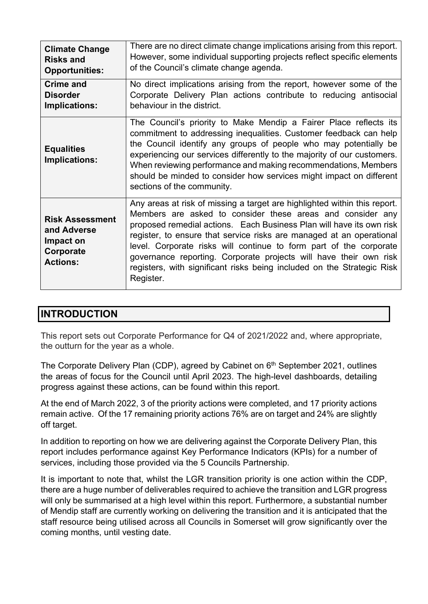| <b>Climate Change</b>                                                              | There are no direct climate change implications arising from this report.                                                                                                                                                                                                                                                                                                                                                                                                                                                 |  |  |
|------------------------------------------------------------------------------------|---------------------------------------------------------------------------------------------------------------------------------------------------------------------------------------------------------------------------------------------------------------------------------------------------------------------------------------------------------------------------------------------------------------------------------------------------------------------------------------------------------------------------|--|--|
| <b>Risks and</b>                                                                   | However, some individual supporting projects reflect specific elements                                                                                                                                                                                                                                                                                                                                                                                                                                                    |  |  |
| <b>Opportunities:</b>                                                              | of the Council's climate change agenda.                                                                                                                                                                                                                                                                                                                                                                                                                                                                                   |  |  |
| <b>Crime and</b>                                                                   | No direct implications arising from the report, however some of the                                                                                                                                                                                                                                                                                                                                                                                                                                                       |  |  |
| <b>Disorder</b>                                                                    | Corporate Delivery Plan actions contribute to reducing antisocial                                                                                                                                                                                                                                                                                                                                                                                                                                                         |  |  |
| Implications:                                                                      | behaviour in the district.                                                                                                                                                                                                                                                                                                                                                                                                                                                                                                |  |  |
| <b>Equalities</b><br>Implications:                                                 | The Council's priority to Make Mendip a Fairer Place reflects its<br>commitment to addressing inequalities. Customer feedback can help<br>the Council identify any groups of people who may potentially be<br>experiencing our services differently to the majority of our customers.<br>When reviewing performance and making recommendations, Members<br>should be minded to consider how services might impact on different<br>sections of the community.                                                              |  |  |
| <b>Risk Assessment</b><br>and Adverse<br>Impact on<br>Corporate<br><b>Actions:</b> | Any areas at risk of missing a target are highlighted within this report.<br>Members are asked to consider these areas and consider any<br>proposed remedial actions. Each Business Plan will have its own risk<br>register, to ensure that service risks are managed at an operational<br>level. Corporate risks will continue to form part of the corporate<br>governance reporting. Corporate projects will have their own risk<br>registers, with significant risks being included on the Strategic Risk<br>Register. |  |  |

### **INTRODUCTION**

This report sets out Corporate Performance for Q4 of 2021/2022 and, where appropriate, the outturn for the year as a whole.

The Corporate Delivery Plan (CDP), agreed by Cabinet on 6<sup>th</sup> September 2021, outlines the areas of focus for the Council until April 2023. The high-level dashboards, detailing progress against these actions, can be found within this report.

At the end of March 2022, 3 of the priority actions were completed, and 17 priority actions remain active. Of the 17 remaining priority actions 76% are on target and 24% are slightly off target.

In addition to reporting on how we are delivering against the Corporate Delivery Plan, this report includes performance against Key Performance Indicators (KPIs) for a number of services, including those provided via the 5 Councils Partnership.

It is important to note that, whilst the LGR transition priority is one action within the CDP, there are a huge number of deliverables required to achieve the transition and LGR progress will only be summarised at a high level within this report. Furthermore, a substantial number of Mendip staff are currently working on delivering the transition and it is anticipated that the staff resource being utilised across all Councils in Somerset will grow significantly over the coming months, until vesting date.